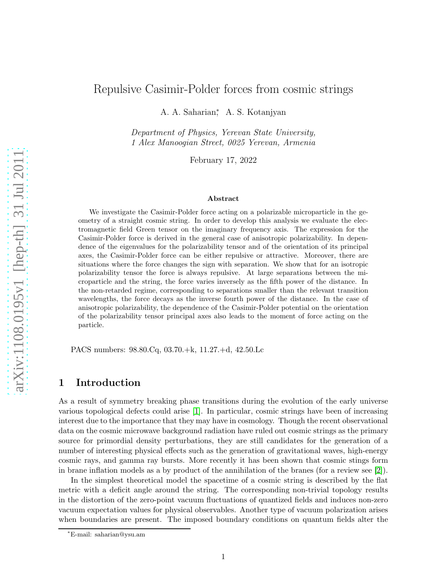# Repulsive Casimir-Polder forces from cosmic strings

A. A. Saharian<sup>\*</sup>, A. S. Kotanjyan

Department of Physics, Yerevan State University, 1 Alex Manoogian Street, 0025 Yerevan, Armenia

February 17, 2022

#### Abstract

We investigate the Casimir-Polder force acting on a polarizable microparticle in the geometry of a straight cosmic string. In order to develop this analysis we evaluate the electromagnetic field Green tensor on the imaginary frequency axis. The expression for the Casimir-Polder force is derived in the general case of anisotropic polarizability. In dependence of the eigenvalues for the polarizability tensor and of the orientation of its principal axes, the Casimir-Polder force can be either repulsive or attractive. Moreover, there are situations where the force changes the sign with separation. We show that for an isotropic polarizability tensor the force is always repulsive. At large separations between the microparticle and the string, the force varies inversely as the fifth power of the distance. In the non-retarded regime, corresponding to separations smaller than the relevant transition wavelengths, the force decays as the inverse fourth power of the distance. In the case of anisotropic polarizability, the dependence of the Casimir-Polder potential on the orientation of the polarizability tensor principal axes also leads to the moment of force acting on the particle.

PACS numbers: 98.80.Cq, 03.70.+k, 11.27.+d, 42.50.Lc

## 1 Introduction

As a result of symmetry breaking phase transitions during the evolution of the early universe various topological defects could arise [\[1\]](#page-13-0). In particular, cosmic strings have been of increasing interest due to the importance that they may have in cosmology. Though the recent observational data on the cosmic microwave background radiation have ruled out cosmic strings as the primary source for primordial density perturbations, they are still candidates for the generation of a number of interesting physical effects such as the generation of gravitational waves, high-energy cosmic rays, and gamma ray bursts. More recently it has been shown that cosmic stings form in brane inflation models as a by product of the annihilation of the branes (for a review see [\[2\]](#page-13-1)).

In the simplest theoretical model the spacetime of a cosmic string is described by the flat metric with a deficit angle around the string. The corresponding non-trivial topology results in the distortion of the zero-point vacuum fluctuations of quantized fields and induces non-zero vacuum expectation values for physical observables. Another type of vacuum polarization arises when boundaries are present. The imposed boundary conditions on quantum fields alter the

<sup>∗</sup>E-mail: saharian@ysu.am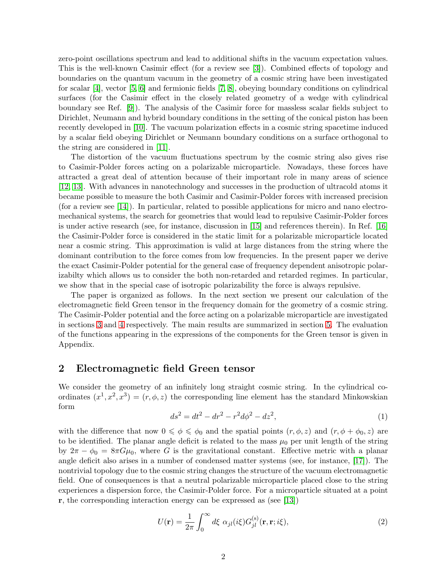zero-point oscillations spectrum and lead to additional shifts in the vacuum expectation values. This is the well-known Casimir effect (for a review see [\[3\]](#page-14-0)). Combined effects of topology and boundaries on the quantum vacuum in the geometry of a cosmic string have been investigated for scalar [\[4\]](#page-14-1), vector [\[5,](#page-14-2) [6\]](#page-14-3) and fermionic fields [\[7,](#page-14-4) [8\]](#page-14-5), obeying boundary conditions on cylindrical surfaces (for the Casimir effect in the closely related geometry of a wedge with cylindrical boundary see Ref. [\[9\]](#page-14-6)). The analysis of the Casimir force for massless scalar fields subject to Dirichlet, Neumann and hybrid boundary conditions in the setting of the conical piston has been recently developed in [\[10\]](#page-14-7). The vacuum polarization effects in a cosmic string spacetime induced by a scalar field obeying Dirichlet or Neumann boundary conditions on a surface orthogonal to the string are considered in [\[11\]](#page-14-8).

The distortion of the vacuum fluctuations spectrum by the cosmic string also gives rise to Casimir-Polder forces acting on a polarizable microparticle. Nowadays, these forces have attracted a great deal of attention because of their important role in many areas of science [\[12,](#page-14-9) [13\]](#page-14-10). With advances in nanotechnology and successes in the production of ultracold atoms it became possible to measure the both Casimir and Casimir-Polder forces with increased precision (for a review see [\[14\]](#page-14-11)). In particular, related to possible applications for micro and nano electromechanical systems, the search for geometries that would lead to repulsive Casimir-Polder forces is under active research (see, for instance, discussion in [\[15\]](#page-14-12) and references therein). In Ref. [\[16\]](#page-14-13) the Casimir-Polder force is considered in the static limit for a polarizable microparticle located near a cosmic string. This approximation is valid at large distances from the string where the dominant contribution to the force comes from low frequencies. In the present paper we derive the exact Casimir-Polder potential for the general case of frequency dependent anisotropic polarizabilty which allows us to consider the both non-retarded and retarded regimes. In particular, we show that in the special case of isotropic polarizability the force is always repulsive.

The paper is organized as follows. In the next section we present our calculation of the electromagnetic field Green tensor in the frequency domain for the geometry of a cosmic string. The Casimir-Polder potential and the force acting on a polarizable microparticle are investigated in sections [3](#page-5-0) and [4](#page-8-0) respectively. The main results are summarized in section [5.](#page-11-0) The evaluation of the functions appearing in the expressions of the components for the Green tensor is given in Appendix.

#### <span id="page-1-1"></span>2 Electromagnetic field Green tensor

We consider the geometry of an infinitely long straight cosmic string. In the cylindrical coordinates  $(x^1, x^2, x^3) = (r, \phi, z)$  the corresponding line element has the standard Minkowskian form

$$
ds^2 = dt^2 - dr^2 - r^2 d\phi^2 - dz^2,
$$
\n(1)

with the difference that now  $0 \le \phi \le \phi_0$  and the spatial points  $(r, \phi, z)$  and  $(r, \phi + \phi_0, z)$  are to be identified. The planar angle deficit is related to the mass  $\mu_0$  per unit length of the string by  $2\pi - \phi_0 = 8\pi G\mu_0$ , where G is the gravitational constant. Effective metric with a planar angle deficit also arises in a number of condensed matter systems (see, for instance, [\[17\]](#page-14-14)). The nontrivial topology due to the cosmic string changes the structure of the vacuum electromagnetic field. One of consequences is that a neutral polarizable microparticle placed close to the string experiences a dispersion force, the Casimir-Polder force. For a microparticle situated at a point r, the corresponding interaction energy can be expressed as (see [\[13\]](#page-14-10))

<span id="page-1-0"></span>
$$
U(\mathbf{r}) = \frac{1}{2\pi} \int_0^\infty d\xi \ \alpha_{jl}(i\xi) G_{jl}^{(\rm s)}(\mathbf{r}, \mathbf{r}; i\xi), \tag{2}
$$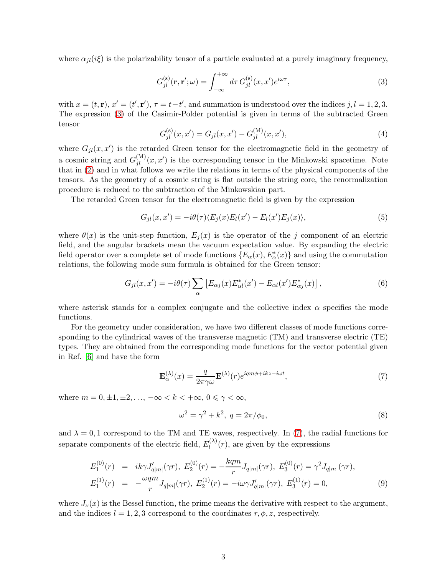where  $\alpha_{il}(i\xi)$  is the polarizability tensor of a particle evaluated at a purely imaginary frequency,

<span id="page-2-0"></span>
$$
G_{jl}^{(\rm s)}(\mathbf{r}, \mathbf{r}'; \omega) = \int_{-\infty}^{+\infty} d\tau \, G_{jl}^{(\rm s)}(x, x') e^{i\omega \tau}, \tag{3}
$$

with  $x = (t, \mathbf{r}), x' = (t', \mathbf{r}'), \tau = t - t'$ , and summation is understood over the indices  $j, l = 1, 2, 3$ . The expression [\(3\)](#page-2-0) of the Casimir-Polder potential is given in terms of the subtracted Green tensor

<span id="page-2-4"></span>
$$
G_{jl}^{(s)}(x, x') = G_{jl}(x, x') - G_{jl}^{(M)}(x, x'),
$$
\n(4)

where  $G_{jl}(x, x')$  is the retarded Green tensor for the electromagnetic field in the geometry of a cosmic string and  $G_{jl}^{(M)}(x, x')$  is the corresponding tensor in the Minkowski spacetime. Note that in [\(2\)](#page-1-0) and in what follows we write the relations in terms of the physical components of the tensors. As the geometry of a cosmic string is flat outside the string core, the renormalization procedure is reduced to the subtraction of the Minkowskian part.

The retarded Green tensor for the electromagnetic field is given by the expression

$$
G_{jl}(x, x') = -i\theta(\tau)\langle E_j(x)E_l(x') - E_l(x')E_j(x)\rangle,
$$
\n(5)

where  $\theta(x)$  is the unit-step function,  $E_i(x)$  is the operator of the j component of an electric field, and the angular brackets mean the vacuum expectation value. By expanding the electric field operator over a complete set of mode functions  $\{E_{\alpha}(x), E_{\alpha}^*(x)\}\)$  and using the commutation relations, the following mode sum formula is obtained for the Green tensor:

<span id="page-2-2"></span>
$$
G_{jl}(x,x') = -i\theta(\tau) \sum_{\alpha} \left[ E_{\alpha j}(x) E_{\alpha l}^*(x') - E_{\alpha l}(x') E_{\alpha j}^*(x) \right],\tag{6}
$$

where asterisk stands for a complex conjugate and the collective index  $\alpha$  specifies the mode functions.

For the geometry under consideration, we have two different classes of mode functions corresponding to the cylindrical waves of the transverse magnetic (TM) and transverse electric (TE) types. They are obtained from the corresponding mode functions for the vector potential given in Ref. [\[6\]](#page-14-3) and have the form

<span id="page-2-1"></span>
$$
\mathbf{E}_{\alpha}^{(\lambda)}(x) = \frac{q}{2\pi\gamma\omega} \mathbf{E}^{(\lambda)}(r) e^{iqm\phi + ikz - i\omega t},\tag{7}
$$

where  $m = 0, \pm 1, \pm 2, \ldots, -\infty < k < +\infty, 0 \leq \gamma < \infty$ ,

$$
\omega^2 = \gamma^2 + k^2, \ q = 2\pi/\phi_0,
$$
\n(8)

and  $\lambda = 0, 1$  correspond to the TM and TE waves, respectively. In [\(7\)](#page-2-1), the radial functions for separate components of the electric field,  $E_l^{(\lambda)}$  $\binom{N}{l}(r)$ , are given by the expressions

<span id="page-2-3"></span>
$$
E_1^{(0)}(r) = ik\gamma J'_{q|m|}(\gamma r), E_2^{(0)}(r) = -\frac{kqm}{r} J_{q|m|}(\gamma r), E_3^{(0)}(r) = \gamma^2 J_{q|m|}(\gamma r),
$$
  
\n
$$
E_1^{(1)}(r) = -\frac{\omega qm}{r} J_{q|m|}(\gamma r), E_2^{(1)}(r) = -i\omega \gamma J'_{q|m|}(\gamma r), E_3^{(1)}(r) = 0,
$$
\n(9)

where  $J_{\nu}(x)$  is the Bessel function, the prime means the derivative with respect to the argument, and the indices  $l = 1, 2, 3$  correspond to the coordinates  $r, \phi, z$ , respectively.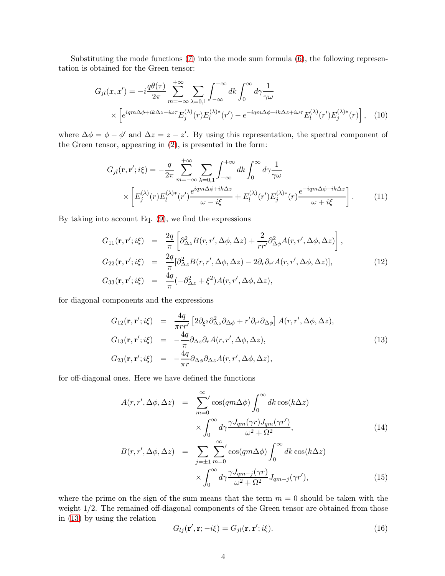Substituting the mode functions [\(7\)](#page-2-1) into the mode sum formula [\(6\)](#page-2-2), the following representation is obtained for the Green tensor:

$$
G_{jl}(x, x') = -i\frac{q\theta(\tau)}{2\pi} \sum_{m=-\infty}^{+\infty} \sum_{\lambda=0,1} \int_{-\infty}^{+\infty} dk \int_0^{\infty} d\gamma \frac{1}{\gamma \omega} \times \left[ e^{iqm\Delta\phi + ik\Delta z - i\omega\tau} E_j^{(\lambda)}(r) E_l^{(\lambda)*}(r') - e^{-iqm\Delta\phi - ik\Delta z + i\omega\tau} E_l^{(\lambda)}(r') E_j^{(\lambda)*}(r) \right], \quad (10)
$$

where  $\Delta \phi = \phi - \phi'$  and  $\Delta z = z - z'$ . By using this representation, the spectral component of the Green tensor, appearing in [\(2\)](#page-1-0), is presented in the form:

$$
G_{jl}(\mathbf{r}, \mathbf{r}'; i\xi) = -\frac{q}{2\pi} \sum_{m=-\infty}^{+\infty} \sum_{\lambda=0,1} \int_{-\infty}^{+\infty} dk \int_0^{\infty} d\gamma \frac{1}{\gamma \omega} \times \left[ E_j^{(\lambda)}(r) E_l^{(\lambda)*}(r') \frac{e^{iqm\Delta\phi + ik\Delta z}}{\omega - i\xi} + E_l^{(\lambda)}(r') E_j^{(\lambda)*}(r) \frac{e^{-iqm\Delta\phi - ik\Delta z}}{\omega + i\xi} \right].
$$
 (11)

By taking into account Eq.  $(9)$ , we find the expressions

<span id="page-3-1"></span>
$$
G_{11}(\mathbf{r}, \mathbf{r}'; i\xi) = \frac{2q}{\pi} \left[ \partial_{\Delta z}^2 B(r, r', \Delta \phi, \Delta z) + \frac{2}{rr'} \partial_{\Delta \phi}^2 A(r, r', \Delta \phi, \Delta z) \right],
$$
  
\n
$$
G_{22}(\mathbf{r}, \mathbf{r}'; i\xi) = \frac{2q}{\pi} [\partial_{\Delta z}^2 B(r, r', \Delta \phi, \Delta z) - 2\partial_r \partial_{r'} A(r, r', \Delta \phi, \Delta z)],
$$
  
\n
$$
G_{33}(\mathbf{r}, \mathbf{r}'; i\xi) = \frac{4q}{\pi} (-\partial_{\Delta z}^2 + \xi^2) A(r, r', \Delta \phi, \Delta z),
$$
\n(12)

for diagonal components and the expressions

<span id="page-3-0"></span>
$$
G_{12}(\mathbf{r}, \mathbf{r}'; i\xi) = \frac{4q}{\pi r r'} \left[ 2\partial_{\xi^2} \partial_{\Delta z}^2 \partial_{\Delta \phi} + r' \partial_{r'} \partial_{\Delta \phi} \right] A(r, r', \Delta \phi, \Delta z),
$$
  
\n
$$
G_{13}(\mathbf{r}, \mathbf{r}'; i\xi) = -\frac{4q}{\pi} \partial_{\Delta z} \partial_r A(r, r', \Delta \phi, \Delta z),
$$
  
\n
$$
G_{23}(\mathbf{r}, \mathbf{r}'; i\xi) = -\frac{4q}{\pi r} \partial_{\Delta \phi} \partial_{\Delta z} A(r, r', \Delta \phi, \Delta z),
$$
\n(13)

for off-diagonal ones. Here we have defined the functions

<span id="page-3-2"></span>
$$
A(r, r', \Delta \phi, \Delta z) = \sum_{m=0}^{\infty} \cos(qm\Delta \phi) \int_0^{\infty} dk \cos(k\Delta z)
$$
  
 
$$
\times \int_0^{\infty} d\gamma \frac{\gamma J_{qm}(\gamma r) J_{qm}(\gamma r')}{\omega^2 + \Omega^2},
$$
  
\n
$$
B(r, r', \Delta \phi, \Delta z) = \sum_{j=\pm 1}^{\infty} \sum_{m=0}^{\infty} \cos(qm\Delta \phi) \int_0^{\infty} dk \cos(k\Delta z)
$$
  
\n
$$
\int_0^{\infty} \gamma I_{q}(\gamma r) \cos(k\Delta z)
$$

$$
\times \int_0^\infty d\gamma \frac{\gamma J_{qm-j}(\gamma r)}{\omega^2 + \Omega^2} J_{qm-j}(\gamma r'),\tag{15}
$$

where the prime on the sign of the sum means that the term  $m = 0$  should be taken with the weight  $1/2$ . The remained off-diagonal components of the Green tensor are obtained from those in [\(13\)](#page-3-0) by using the relation

$$
G_{lj}(\mathbf{r}', \mathbf{r}; -i\xi) = G_{jl}(\mathbf{r}, \mathbf{r}'; i\xi). \tag{16}
$$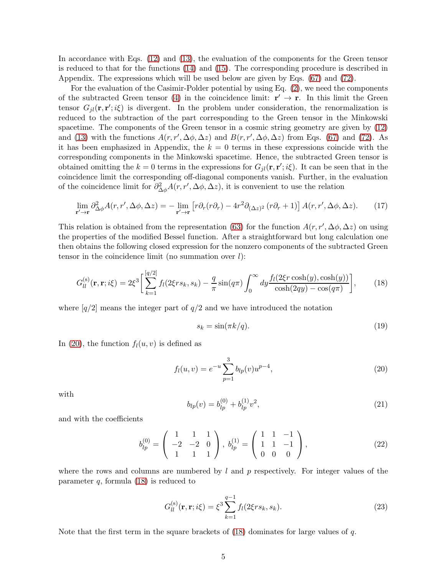In accordance with Eqs. [\(12\)](#page-3-1) and [\(13\)](#page-3-0), the evaluation of the components for the Green tensor is reduced to that for the functions [\(14\)](#page-3-2) and [\(15\)](#page-3-2). The corresponding procedure is described in Appendix. The expressions which will be used below are given by Eqs. [\(67\)](#page-12-0) and [\(72\)](#page-13-2).

For the evaluation of the Casimir-Polder potential by using Eq. [\(2\)](#page-1-0), we need the components of the subtracted Green tensor [\(4\)](#page-2-4) in the coincidence limit:  $\mathbf{r}' \to \mathbf{r}$ . In this limit the Green tensor  $G_{jl}(\mathbf{r}, \mathbf{r}'; i\xi)$  is divergent. In the problem under consideration, the renormalization is reduced to the subtraction of the part corresponding to the Green tensor in the Minkowski spacetime. The components of the Green tensor in a cosmic string geometry are given by [\(12\)](#page-3-1) and [\(13\)](#page-3-0) with the functions  $A(r, r', \Delta\phi, \Delta z)$  and  $B(r, r', \Delta\phi, \Delta z)$  from Eqs. [\(67\)](#page-12-0) and [\(72\)](#page-13-2). As it has been emphasized in Appendix, the  $k = 0$  terms in these expressions coincide with the corresponding components in the Minkowski spacetime. Hence, the subtracted Green tensor is obtained omitting the  $k = 0$  terms in the expressions for  $G_{jl}(\mathbf{r}, \mathbf{r}'; i\xi)$ . It can be seen that in the coincidence limit the corresponding off-diagonal components vanish. Further, in the evaluation of the coincidence limit for  $\partial_{\Delta\phi}^2 A(r, r', \Delta\phi, \Delta z)$ , it is convenient to use the relation

$$
\lim_{\mathbf{r}' \to \mathbf{r}} \partial_{\Delta\phi}^2 A(r, r', \Delta\phi, \Delta z) = -\lim_{\mathbf{r}' \to \mathbf{r}} \left[ r \partial_r (r \partial_r) - 4r^2 \partial_{(\Delta z)^2} (r \partial_r + 1) \right] A(r, r', \Delta\phi, \Delta z).
$$
 (17)

This relation is obtained from the representation [\(63\)](#page-12-1) for the function  $A(r, r', \Delta\phi, \Delta z)$  on using the properties of the modified Bessel function. After a straightforward but long calculation one then obtains the following closed expression for the nonzero components of the subtracted Green tensor in the coincidence limit (no summation over  $l$ ):

<span id="page-4-1"></span>
$$
G_{ll}^{(s)}(\mathbf{r}, \mathbf{r}; i\xi) = 2\xi^3 \left[ \sum_{k=1}^{[q/2]} f_l(2\xi rs_k, s_k) - \frac{q}{\pi} \sin(q\pi) \int_0^\infty dy \frac{f_l(2\xi r \cosh(y), \cosh(y))}{\cosh(2qy) - \cos(q\pi)} \right],\tag{18}
$$

where  $q/2$  means the integer part of  $q/2$  and we have introduced the notation

$$
s_k = \sin(\pi k/q). \tag{19}
$$

In [\(20\)](#page-4-0), the function  $f_l(u, v)$  is defined as

<span id="page-4-0"></span>
$$
f_l(u,v) = e^{-u} \sum_{p=1}^{3} b_{lp}(v) u^{p-4},
$$
\n(20)

with

<span id="page-4-3"></span>
$$
b_{lp}(v) = b_{lp}^{(0)} + b_{lp}^{(1)}v^2,
$$
\n(21)

and with the coefficients

<span id="page-4-2"></span>
$$
b_{lp}^{(0)} = \begin{pmatrix} 1 & 1 & 1 \\ -2 & -2 & 0 \\ 1 & 1 & 1 \end{pmatrix}, b_{lp}^{(1)} = \begin{pmatrix} 1 & 1 & -1 \\ 1 & 1 & -1 \\ 0 & 0 & 0 \end{pmatrix},
$$
 (22)

where the rows and columns are numbered by  $l$  and  $p$  respectively. For integer values of the parameter  $q$ , formula  $(18)$  is reduced to

$$
G_{ll}^{(s)}(\mathbf{r}, \mathbf{r}; i\xi) = \xi^3 \sum_{k=1}^{q-1} f_l(2\xi rs_k, s_k).
$$
 (23)

Note that the first term in the square brackets of  $(18)$  dominates for large values of q.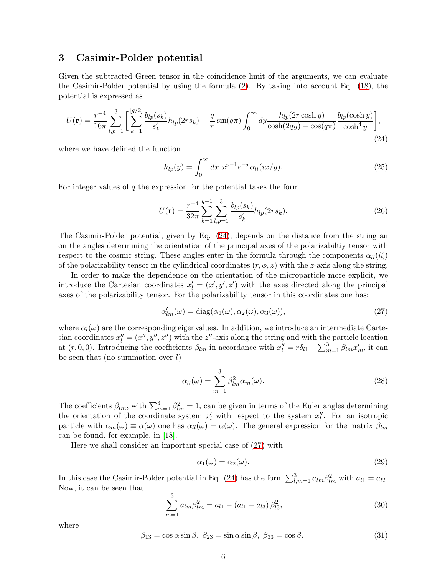#### <span id="page-5-0"></span>3 Casimir-Polder potential

Given the subtracted Green tensor in the coincidence limit of the arguments, we can evaluate the Casimir-Polder potential by using the formula [\(2\)](#page-1-0). By taking into account Eq. [\(18\)](#page-4-1), the potential is expressed as

<span id="page-5-1"></span>
$$
U(\mathbf{r}) = \frac{r^{-4}}{16\pi} \sum_{l,p=1}^{3} \left[ \sum_{k=1}^{[q/2]} \frac{b_{lp}(s_k)}{s_k^4} h_{lp}(2rs_k) - \frac{q}{\pi} \sin(q\pi) \int_0^\infty dy \frac{h_{lp}(2r\cosh y)}{\cosh(2qy) - \cos(q\pi)} \frac{b_{lp}(\cosh y)}{\cosh^4 y} \right],
$$
\n(24)

where we have defined the function

<span id="page-5-6"></span>
$$
h_{lp}(y) = \int_0^\infty dx \ x^{p-1} e^{-x} \alpha_{ll}(ix/y). \tag{25}
$$

For integer values of  $q$  the expression for the potential takes the form

<span id="page-5-7"></span>
$$
U(\mathbf{r}) = \frac{r^{-4}}{32\pi} \sum_{k=1}^{q-1} \sum_{l,p=1}^{3} \frac{b_{lp}(s_k)}{s_k^4} h_{lp}(2rs_k).
$$
 (26)

The Casimir-Polder potential, given by Eq. [\(24\)](#page-5-1), depends on the distance from the string an on the angles determining the orientation of the principal axes of the polarizabiltiy tensor with respect to the cosmic string. These angles enter in the formula through the components  $\alpha_{ll}(i\xi)$ of the polarizability tensor in the cylindrical coordinates  $(r, \phi, z)$  with the z-axis along the string.

In order to make the dependence on the orientation of the microparticle more explicit, we introduce the Cartesian coordinates  $x'_{l} = (x', y', z')$  with the axes directed along the principal axes of the polarizability tensor. For the polarizability tensor in this coordinates one has:

<span id="page-5-2"></span>
$$
\alpha'_{lm}(\omega) = \text{diag}(\alpha_1(\omega), \alpha_2(\omega), \alpha_3(\omega)),\tag{27}
$$

where  $\alpha_l(\omega)$  are the corresponding eigenvalues. In addition, we introduce an intermediate Cartesian coordinates  $x_l'' = (x'', y'', z'')$  with the z''-axis along the string and with the particle location at  $(r, 0, 0)$ . Introducing the coefficients  $\beta_{lm}$  in accordance with  $x_l'' = r\delta_{l1} + \sum_{m=1}^3 \beta_{lm} x_m'$ , it can be seen that (no summation over  $l$ )

<span id="page-5-5"></span>
$$
\alpha_{ll}(\omega) = \sum_{m=1}^{3} \beta_{lm}^2 \alpha_m(\omega). \tag{28}
$$

The coefficients  $\beta_{lm}$ , with  $\sum_{m=1}^{3} \beta_{lm}^2 = 1$ , can be given in terms of the Euler angles determining the orientation of the coordinate system  $x'_{l}$  with respect to the system  $x''_{l}$ . For an isotropic particle with  $\alpha_m(\omega) \equiv \alpha(\omega)$  one has  $\alpha_{ll}(\omega) = \alpha(\omega)$ . The general expression for the matrix  $\beta_{lm}$ can be found, for example, in [\[18\]](#page-15-0).

Here we shall consider an important special case of [\(27\)](#page-5-2) with

<span id="page-5-4"></span>
$$
\alpha_1(\omega) = \alpha_2(\omega). \tag{29}
$$

In this case the Casimir-Polder potential in Eq. [\(24\)](#page-5-1) has the form  $\sum_{l,m=1}^{3} a_{lm} \beta_{lm}^2$  with  $a_{l1} = a_{l2}$ . Now, it can be seen that

$$
\sum_{m=1}^{3} a_{lm} \beta_{lm}^2 = a_{l1} - (a_{l1} - a_{l3}) \beta_{l3}^2,
$$
\n(30)

where

<span id="page-5-3"></span>
$$
\beta_{13} = \cos \alpha \sin \beta, \ \beta_{23} = \sin \alpha \sin \beta, \ \beta_{33} = \cos \beta. \tag{31}
$$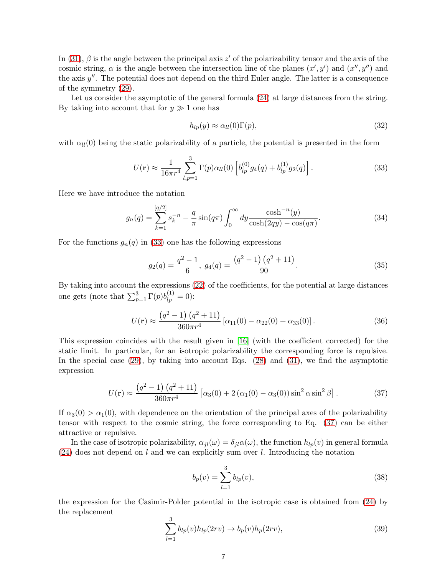In [\(31\)](#page-5-3),  $\beta$  is the angle between the principal axis z' of the polarizability tensor and the axis of the cosmic string,  $\alpha$  is the angle between the intersection line of the planes  $(x', y')$  and  $(x'', y'')$  and the axis  $y''$ . The potential does not depend on the third Euler angle. The latter is a consequence of the symmetry [\(29\)](#page-5-4).

Let us consider the asymptotic of the general formula  $(24)$  at large distances from the string. By taking into account that for  $y \gg 1$  one has

$$
h_{lp}(y) \approx \alpha_{ll}(0)\Gamma(p),\tag{32}
$$

with  $\alpha_{ll}(0)$  being the static polarizability of a particle, the potential is presented in the form

<span id="page-6-0"></span>
$$
U(\mathbf{r}) \approx \frac{1}{16\pi r^4} \sum_{l,p=1}^{3} \Gamma(p) \alpha_{ll}(0) \left[ b_{lp}^{(0)} g_4(q) + b_{lp}^{(1)} g_2(q) \right]. \tag{33}
$$

Here we have introduce the notation

<span id="page-6-2"></span>
$$
g_n(q) = \sum_{k=1}^{\left[q/2\right]} s_k^{-n} - \frac{q}{\pi} \sin(q\pi) \int_0^\infty dy \frac{\cosh^{-n}(y)}{\cosh(2qy) - \cos(q\pi)}.
$$
 (34)

For the functions  $g_n(q)$  in [\(33\)](#page-6-0) one has the following expressions

$$
g_2(q) = \frac{q^2 - 1}{6}, \ g_4(q) = \frac{(q^2 - 1)(q^2 + 11)}{90}.
$$
 (35)

By taking into account the expressions [\(22\)](#page-4-2) of the coefficients, for the potential at large distances one gets (note that  $\sum_{p=1}^{3} \Gamma(p) b_{lp}^{(1)} = 0$ ):

<span id="page-6-3"></span>
$$
U(\mathbf{r}) \approx \frac{\left(q^2 - 1\right)\left(q^2 + 11\right)}{360\pi r^4} \left[\alpha_{11}(0) - \alpha_{22}(0) + \alpha_{33}(0)\right].\tag{36}
$$

This expression coincides with the result given in [\[16\]](#page-14-13) (with the coefficient corrected) for the static limit. In particular, for an isotropic polarizability the corresponding force is repulsive. In the special case [\(29\)](#page-5-4), by taking into account Eqs. [\(28\)](#page-5-5) and [\(31\)](#page-5-3), we find the asymptotic expression

<span id="page-6-1"></span>
$$
U(\mathbf{r}) \approx \frac{\left(q^2 - 1\right)\left(q^2 + 11\right)}{360\pi r^4} \left[\alpha_3(0) + 2\left(\alpha_1(0) - \alpha_3(0)\right)\sin^2\alpha\sin^2\beta\right].\tag{37}
$$

If  $\alpha_3(0) > \alpha_1(0)$ , with dependence on the orientation of the principal axes of the polarizability tensor with respect to the cosmic string, the force corresponding to Eq. [\(37\)](#page-6-1) can be either attractive or repulsive.

In the case of isotropic polarizability,  $\alpha_{jl}(\omega) = \delta_{jl}\alpha(\omega)$ , the function  $h_{lp}(v)$  in general formula  $(24)$  does not depend on l and we can explicitly sum over l. Introducing the notation

$$
b_p(v) = \sum_{l=1}^{3} b_{lp}(v),
$$
\n(38)

the expression for the Casimir-Polder potential in the isotropic case is obtained from [\(24\)](#page-5-1) by the replacement

$$
\sum_{l=1}^{3} b_{lp}(v)h_{lp}(2rv) \to b_p(v)h_p(2rv),
$$
\n(39)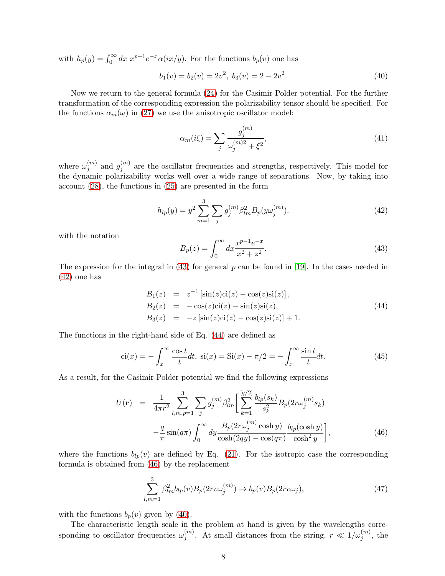with  $h_p(y) = \int_0^\infty dx \ x^{p-1} e^{-x} \alpha(ix/y)$ . For the functions  $b_p(v)$  one has

<span id="page-7-4"></span>
$$
b_1(v) = b_2(v) = 2v^2, \ b_3(v) = 2 - 2v^2. \tag{40}
$$

Now we return to the general formula [\(24\)](#page-5-1) for the Casimir-Polder potential. For the further transformation of the corresponding expression the polarizability tensor should be specified. For the functions  $\alpha_m(\omega)$  in [\(27\)](#page-5-2) we use the anisotropic oscillator model:

$$
\alpha_m(i\xi) = \sum_j \frac{g_j^{(m)}}{\omega_j^{(m)2} + \xi^2},\tag{41}
$$

where  $\omega_i^{(m)}$  $j^{(m)}$  and  $g_j^{(m)}$  $j_j^{(m)}$  are the oscillator frequencies and strengths, respectively. This model for the dynamic polarizability works well over a wide range of separations. Now, by taking into account [\(28\)](#page-5-5), the functions in [\(25\)](#page-5-6) are presented in the form

<span id="page-7-1"></span>
$$
h_{lp}(y) = y^2 \sum_{m=1}^{3} \sum_{j} g_j^{(m)} \beta_{lm}^2 B_p(y \omega_j^{(m)}).
$$
 (42)

with the notation

<span id="page-7-0"></span>
$$
B_p(z) = \int_0^\infty dx \frac{x^{p-1}e^{-x}}{x^2 + z^2}.
$$
\n(43)

The expression for the integral in [\(43\)](#page-7-0) for general p can be found in [\[19\]](#page-15-1). In the cases needed in [\(42\)](#page-7-1) one has

<span id="page-7-2"></span>
$$
B_1(z) = z^{-1} [\sin(z)ci(z) - \cos(z)si(z)],
$$
  
\n
$$
B_2(z) = -\cos(z)ci(z) - \sin(z)si(z),
$$
  
\n
$$
B_3(z) = -z [\sin(z)ci(z) - \cos(z)si(z)] + 1.
$$
\n(44)

The functions in the right-hand side of Eq. [\(44\)](#page-7-2) are defined as

$$
\operatorname{ci}(x) = -\int_x^\infty \frac{\cos t}{t} dt, \quad \operatorname{si}(x) = \operatorname{Si}(x) - \pi/2 = -\int_x^\infty \frac{\sin t}{t} dt. \tag{45}
$$

As a result, for the Casimir-Polder potential we find the following expressions

<span id="page-7-3"></span>
$$
U(\mathbf{r}) = \frac{1}{4\pi r^2} \sum_{l,m,p=1}^{3} \sum_{j} g_j^{(m)} \beta_{lm}^2 \left[ \sum_{k=1}^{[q/2]} \frac{b_{lp}(s_k)}{s_k^2} B_p(2r\omega_j^{(m)}s_k) - \frac{q}{\pi} \sin(q\pi) \int_0^\infty dy \frac{B_p(2r\omega_j^{(m)}\cosh y)}{\cosh(2qy) - \cos(q\pi)} \frac{b_{lp}(\cosh y)}{\cosh^2 y} \right],
$$
(46)

where the functions  $b_{lp}(v)$  are defined by Eq. [\(21\)](#page-4-3). For the isotropic case the corresponding formula is obtained from [\(46\)](#page-7-3) by the replacement

$$
\sum_{l,m=1}^{3} \beta_{lm}^2 b_{lp}(v) B_p(2rv\omega_j^{(m)}) \to b_p(v) B_p(2rv\omega_j),\tag{47}
$$

with the functions  $b_p(v)$  given by [\(40\)](#page-7-4).

The characteristic length scale in the problem at hand is given by the wavelengths corresponding to oscillator frequencies  $\omega_i^{(m)}$  $j^{(m)}$ . At small distances from the string,  $r \ll 1/\omega_j^{(m)}$ , the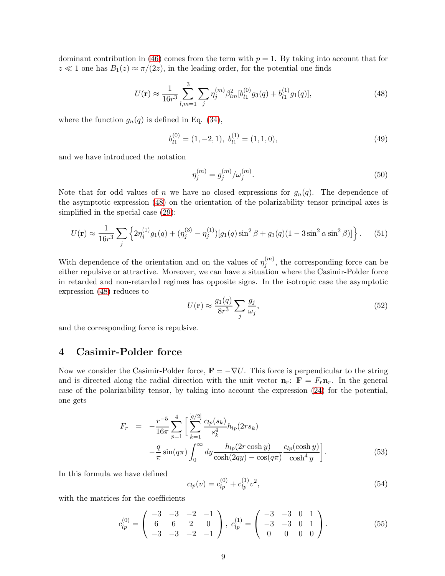dominant contribution in [\(46\)](#page-7-3) comes from the term with  $p = 1$ . By taking into account that for  $z \ll 1$  one has  $B_1(z) \approx \pi/(2z)$ , in the leading order, for the potential one finds

<span id="page-8-1"></span>
$$
U(\mathbf{r}) \approx \frac{1}{16r^3} \sum_{l,m=1}^{3} \sum_{j} \eta_j^{(m)} \beta_{lm}^2 [b_{l1}^{(0)} g_3(q) + b_{l1}^{(1)} g_1(q)], \qquad (48)
$$

where the function  $g_n(q)$  is defined in Eq. [\(34\)](#page-6-2),

$$
b_{l1}^{(0)} = (1, -2, 1), \ b_{l1}^{(1)} = (1, 1, 0), \tag{49}
$$

and we have introduced the notation

$$
\eta_j^{(m)} = g_j^{(m)} / \omega_j^{(m)}.
$$
\n(50)

Note that for odd values of n we have no closed expressions for  $g_n(q)$ . The dependence of the asymptotic expression [\(48\)](#page-8-1) on the orientation of the polarizability tensor principal axes is simplified in the special case [\(29\)](#page-5-4):

$$
U(\mathbf{r}) \approx \frac{1}{16r^3} \sum_{j} \left\{ 2\eta_j^{(1)} g_1(q) + (\eta_j^{(3)} - \eta_j^{(1)}) [g_1(q)\sin^2\beta + g_3(q)(1 - 3\sin^2\alpha\sin^2\beta)] \right\}.
$$
 (51)

With dependence of the orientation and on the values of  $\eta_i^{(m)}$  $j_j^{(m)}$ , the corresponding force can be either repulsive or attractive. Moreover, we can have a situation where the Casimir-Polder force in retarded and non-retarded regimes has opposite signs. In the isotropic case the asymptotic expression [\(48\)](#page-8-1) reduces to

<span id="page-8-3"></span>
$$
U(\mathbf{r}) \approx \frac{g_1(q)}{8r^3} \sum_j \frac{g_j}{\omega_j},\tag{52}
$$

<span id="page-8-0"></span>and the corresponding force is repulsive.

### 4 Casimir-Polder force

Now we consider the Casimir-Polder force,  $\mathbf{F} = -\nabla U$ . This force is perpendicular to the string and is directed along the radial direction with the unit vector  $\mathbf{n}_r$ :  $\mathbf{F} = F_r \mathbf{n}_r$ . In the general case of the polarizability tensor, by taking into account the expression [\(24\)](#page-5-1) for the potential, one gets

<span id="page-8-2"></span>
$$
F_r = -\frac{r^{-5}}{16\pi} \sum_{p=1}^{4} \left[ \sum_{k=1}^{[q/2]} \frac{c_{lp}(s_k)}{s_k^4} h_{lp}(2rs_k) -\frac{q}{\pi} \sin(q\pi) \int_0^\infty dy \frac{h_{lp}(2r\cosh y)}{\cosh(2qy) - \cos(q\pi)} \frac{c_{lp}(\cosh y)}{\cosh^4 y} \right].
$$
 (53)

In this formula we have defined

$$
c_{lp}(v) = c_{lp}^{(0)} + c_{lp}^{(1)}v^2,
$$
\n(54)

with the matrices for the coefficients

$$
c_{lp}^{(0)} = \begin{pmatrix} -3 & -3 & -2 & -1 \\ 6 & 6 & 2 & 0 \\ -3 & -3 & -2 & -1 \end{pmatrix}, \ c_{lp}^{(1)} = \begin{pmatrix} -3 & -3 & 0 & 1 \\ -3 & -3 & 0 & 1 \\ 0 & 0 & 0 & 0 \end{pmatrix}.
$$
 (55)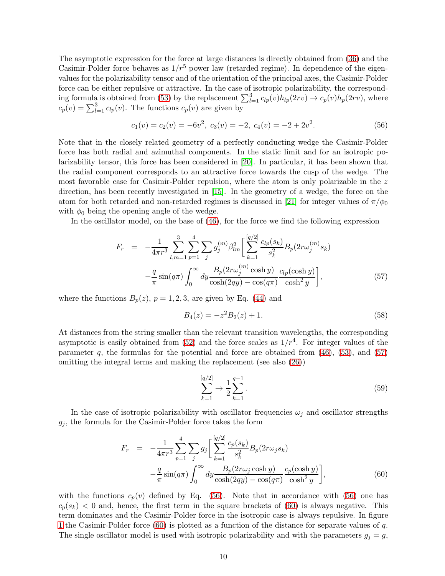The asymptotic expression for the force at large distances is directly obtained from [\(36\)](#page-6-3) and the Casimir-Polder force behaves as  $1/r^5$  power law (retarded regime). In dependence of the eigenvalues for the polarizability tensor and of the orientation of the principal axes, the Casimir-Polder force can be either repulsive or attractive. In the case of isotropic polarizability, the correspond-ing formula is obtained from [\(53\)](#page-8-2) by the replacement  $\sum_{l=1}^{3} c_{lp}(v)h_{lp}(2rv) \to c_p(v)h_p(2rv)$ , where  $c_p(v) = \sum_{l=1}^3 c_{lp}(v)$ . The functions  $c_p(v)$  are given by

<span id="page-9-1"></span>
$$
c_1(v) = c_2(v) = -6v^2, \ c_3(v) = -2, \ c_4(v) = -2 + 2v^2. \tag{56}
$$

Note that in the closely related geometry of a perfectly conducting wedge the Casimir-Polder force has both radial and azimuthal components. In the static limit and for an isotropic polarizability tensor, this force has been considered in [\[20\]](#page-15-2). In particular, it has been shown that the radial component corresponds to an attractive force towards the cusp of the wedge. The most favorable case for Casimir-Polder repulsion, where the atom is only polarizable in the z direction, has been recently investigated in [\[15\]](#page-14-12). In the geometry of a wedge, the force on the atom for both retarded and non-retarded regimes is discussed in [\[21\]](#page-15-3) for integer values of  $\pi/\phi_0$ with  $\phi_0$  being the opening angle of the wedge.

In the oscillator model, on the base of [\(46\)](#page-7-3), for the force we find the following expression

<span id="page-9-0"></span>
$$
F_r = -\frac{1}{4\pi r^3} \sum_{l,m=1}^3 \sum_{p=1}^4 \sum_j g_j^{(m)} \beta_{lm}^2 \left[ \sum_{k=1}^{[q/2]} \frac{c_{lp}(s_k)}{s_k^2} B_p(2r\omega_j^{(m)}s_k) -\frac{q}{\pi} \sin(q\pi) \int_0^\infty dy \frac{B_p(2r\omega_j^{(m)}\cosh y)}{\cosh(2qy) - \cos(q\pi)} \frac{c_{lp}(\cosh y)}{\cosh^2 y} \right],
$$
(57)

where the functions  $B_p(z)$ ,  $p = 1, 2, 3$ , are given by Eq. [\(44\)](#page-7-2) and

$$
B_4(z) = -z^2 B_2(z) + 1.
$$
\n(58)

At distances from the string smaller than the relevant transition wavelengths, the corresponding asymptotic is easily obtained from  $(52)$  and the force scales as  $1/r<sup>4</sup>$ . For integer values of the parameter  $q$ , the formulas for the potential and force are obtained from  $(46)$ ,  $(53)$ , and  $(57)$ omitting the integral terms and making the replacement (see also [\(26\)](#page-5-7))

$$
\sum_{k=1}^{[q/2]} \to \frac{1}{2} \sum_{k=1}^{q-1}.
$$
\n(59)

In the case of isotropic polarizability with oscillator frequencies  $\omega_i$  and oscillator strengths  $g_j$ , the formula for the Casimir-Polder force takes the form

<span id="page-9-2"></span>
$$
F_r = -\frac{1}{4\pi r^3} \sum_{p=1}^{4} \sum_{j} g_j \left[ \sum_{k=1}^{[q/2]} \frac{c_p(s_k)}{s_k^2} B_p(2r\omega_j s_k) -\frac{q}{\pi} \sin(q\pi) \int_0^\infty dy \frac{B_p(2r\omega_j \cosh y)}{\cosh(2qy) - \cos(q\pi)} \frac{c_p(\cosh y)}{\cosh^2 y} \right],
$$
(60)

with the functions  $c_p(v)$  defined by Eq. [\(56\)](#page-9-1). Note that in accordance with (56) one has  $c_p(s_k)$  < 0 and, hence, the first term in the square brackets of [\(60\)](#page-9-2) is always negative. This term dominates and the Casimir-Polder force in the isotropic case is always repulsive. In figure [1](#page-10-0) the Casimir-Polder force [\(60\)](#page-9-2) is plotted as a function of the distance for separate values of q. The single oscillator model is used with isotropic polarizability and with the parameters  $g_j = g$ ,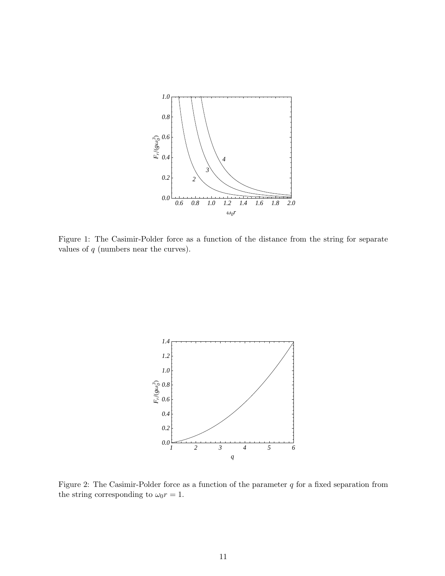

<span id="page-10-0"></span>Figure 1: The Casimir-Polder force as a function of the distance from the string for separate values of  $q$  (numbers near the curves).



<span id="page-10-1"></span>Figure 2: The Casimir-Polder force as a function of the parameter  $q$  for a fixed separation from the string corresponding to  $\omega_0 r = 1$ .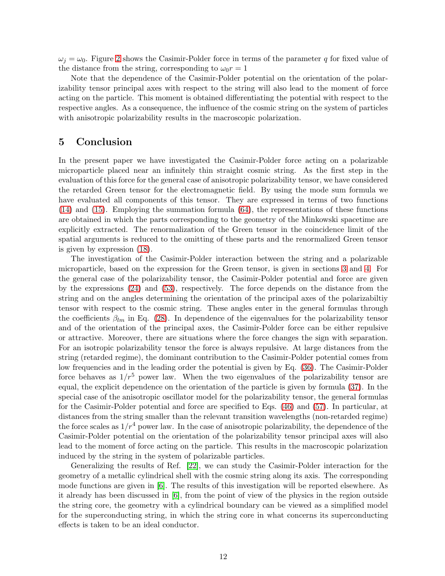$\omega_i = \omega_0$ . Figure [2](#page-10-1) shows the Casimir-Polder force in terms of the parameter q for fixed value of the distance from the string, corresponding to  $\omega_0 r = 1$ 

Note that the dependence of the Casimir-Polder potential on the orientation of the polarizability tensor principal axes with respect to the string will also lead to the moment of force acting on the particle. This moment is obtained differentiating the potential with respect to the respective angles. As a consequence, the influence of the cosmic string on the system of particles with anisotropic polarizability results in the macroscopic polarization.

#### <span id="page-11-0"></span>5 Conclusion

In the present paper we have investigated the Casimir-Polder force acting on a polarizable microparticle placed near an infinitely thin straight cosmic string. As the first step in the evaluation of this force for the general case of anisotropic polarizability tensor, we have considered the retarded Green tensor for the electromagnetic field. By using the mode sum formula we have evaluated all components of this tensor. They are expressed in terms of two functions [\(14\)](#page-3-2) and [\(15\)](#page-3-2). Employing the summation formula [\(64\)](#page-12-2), the representations of these functions are obtained in which the parts corresponding to the geometry of the Minkowski spacetime are explicitly extracted. The renormalization of the Green tensor in the coincidence limit of the spatial arguments is reduced to the omitting of these parts and the renormalized Green tensor is given by expression [\(18\)](#page-4-1).

The investigation of the Casimir-Polder interaction between the string and a polarizable microparticle, based on the expression for the Green tensor, is given in sections [3](#page-5-0) and [4.](#page-8-0) For the general case of the polarizability tensor, the Casimir-Polder potential and force are given by the expressions [\(24\)](#page-5-1) and [\(53\)](#page-8-2), respectively. The force depends on the distance from the string and on the angles determining the orientation of the principal axes of the polarizabiltiy tensor with respect to the cosmic string. These angles enter in the general formulas through the coefficients  $\beta_{lm}$  in Eq. [\(28\)](#page-5-5). In dependence of the eigenvalues for the polarizability tensor and of the orientation of the principal axes, the Casimir-Polder force can be either repulsive or attractive. Moreover, there are situations where the force changes the sign with separation. For an isotropic polarizability tensor the force is always repulsive. At large distances from the string (retarded regime), the dominant contribution to the Casimir-Polder potential comes from low frequencies and in the leading order the potential is given by Eq. [\(36\)](#page-6-3). The Casimir-Polder force behaves as  $1/r^5$  power law. When the two eigenvalues of the polarizability tensor are equal, the explicit dependence on the orientation of the particle is given by formula [\(37\)](#page-6-1). In the special case of the anisotropic oscillator model for the polarizability tensor, the general formulas for the Casimir-Polder potential and force are specified to Eqs. [\(46\)](#page-7-3) and [\(57\)](#page-9-0). In particular, at distances from the string smaller than the relevant transition wavelengths (non-retarded regime) the force scales as  $1/r^4$  power law. In the case of anisotropic polarizability, the dependence of the Casimir-Polder potential on the orientation of the polarizability tensor principal axes will also lead to the moment of force acting on the particle. This results in the macroscopic polarization induced by the string in the system of polarizable particles.

Generalizing the results of Ref. [\[22\]](#page-15-4), we can study the Casimir-Polder interaction for the geometry of a metallic cylindrical shell with the cosmic string along its axis. The corresponding mode functions are given in [\[6\]](#page-14-3). The results of this investigation will be reported elsewhere. As it already has been discussed in [\[6\]](#page-14-3), from the point of view of the physics in the region outside the string core, the geometry with a cylindrical boundary can be viewed as a simplified model for the superconducting string, in which the string core in what concerns its superconducting effects is taken to be an ideal conductor.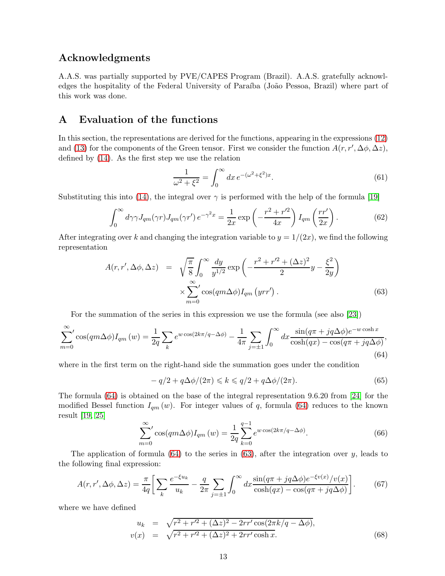#### Acknowledgments

A.A.S. was partially supported by PVE/CAPES Program (Brazil). A.A.S. gratefully acknowledges the hospitality of the Federal University of Paraíba (João Pessoa, Brazil) where part of this work was done.

# A Evaluation of the functions

In this section, the representations are derived for the functions, appearing in the expressions [\(12\)](#page-3-1) and [\(13\)](#page-3-0) for the components of the Green tensor. First we consider the function  $A(r, r', \Delta\phi, \Delta z)$ , defined by [\(14\)](#page-3-2). As the first step we use the relation

<span id="page-12-3"></span>
$$
\frac{1}{\omega^2 + \xi^2} = \int_0^\infty dx \, e^{-(\omega^2 + \xi^2)x}.\tag{61}
$$

Substituting this into [\(14\)](#page-3-2), the integral over  $\gamma$  is performed with the help of the formula [\[19\]](#page-15-1)

$$
\int_0^\infty d\gamma \gamma J_{qm}(\gamma r) J_{qm}(\gamma r') e^{-\gamma^2 x} = \frac{1}{2x} \exp\left(-\frac{r^2 + r'^2}{4x}\right) I_{qm}\left(\frac{rr'}{2x}\right). \tag{62}
$$

After integrating over k and changing the integration variable to  $y = 1/(2x)$ , we find the following representation

<span id="page-12-1"></span>
$$
A(r, r', \Delta \phi, \Delta z) = \sqrt{\frac{\pi}{8}} \int_0^\infty \frac{dy}{y^{1/2}} \exp\left(-\frac{r^2 + r'^2 + (\Delta z)^2}{2} y - \frac{\xi^2}{2y}\right)
$$

$$
\times \sum_{m=0}^\infty \cos(qm\Delta\phi) I_{qm} (yrr'). \tag{63}
$$

For the summation of the series in this expression we use the formula (see also [\[23\]](#page-15-5))

<span id="page-12-2"></span>
$$
\sum_{m=0}^{\infty} ' \cos(qm\Delta\phi) I_{qm}(w) = \frac{1}{2q} \sum_{k} e^{w \cos(2k\pi/q - \Delta\phi)} - \frac{1}{4\pi} \sum_{j=\pm 1} \int_0^{\infty} dx \frac{\sin(q\pi + iq\Delta\phi)e^{-w \cosh x}}{\cosh(qx) - \cos(q\pi + iq\Delta\phi)},
$$
\n(64)

where in the first term on the right-hand side the summation goes under the condition

$$
-q/2 + q\Delta\phi/(2\pi) \leq k \leq q/2 + q\Delta\phi/(2\pi). \tag{65}
$$

The formula [\(64\)](#page-12-2) is obtained on the base of the integral representation 9.6.20 from [\[24\]](#page-15-6) for the modified Bessel function  $I_{qm}(w)$ . For integer values of q, formula [\(64\)](#page-12-2) reduces to the known result [\[19,](#page-15-1) [25\]](#page-15-7)

$$
\sum_{m=0}^{\infty} ' \cos(qm\Delta\phi) I_{qm}(w) = \frac{1}{2q} \sum_{k=0}^{q-1} e^{w \cos(2k\pi/q - \Delta\phi)}.
$$
 (66)

The application of formula  $(64)$  to the series in  $(63)$ , after the integration over y, leads to the following final expression:

<span id="page-12-0"></span>
$$
A(r, r', \Delta\phi, \Delta z) = \frac{\pi}{4q} \bigg[ \sum_{k} \frac{e^{-\xi u_k}}{u_k} - \frac{q}{2\pi} \sum_{j=\pm 1} \int_0^\infty dx \frac{\sin(q\pi + iq\Delta\phi)e^{-\xi v(x)}/v(x)}{\cosh(qx) - \cos(q\pi + iq\Delta\phi)} \bigg].
$$
 (67)

where we have defined

<span id="page-12-4"></span>
$$
u_k = \sqrt{r^2 + r'^2 + (\Delta z)^2 - 2rr'\cos(2\pi k/q - \Delta\phi)},
$$
  
\n
$$
v(x) = \sqrt{r^2 + r'^2 + (\Delta z)^2 + 2rr'\cosh x}.
$$
\n(68)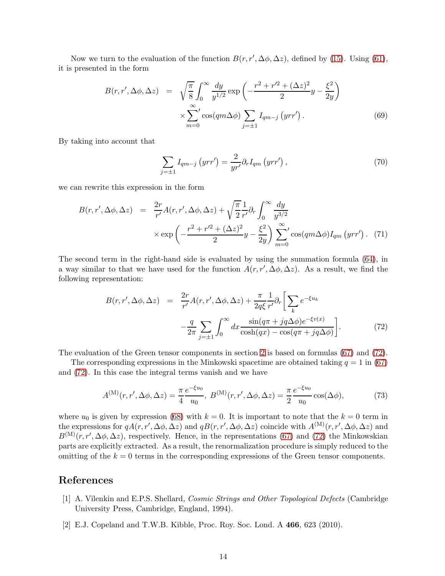Now we turn to the evaluation of the function  $B(r, r', \Delta\phi, \Delta z)$ , defined by [\(15\)](#page-3-2). Using [\(61\)](#page-12-3), it is presented in the form

$$
B(r, r', \Delta\phi, \Delta z) = \sqrt{\frac{\pi}{8}} \int_0^\infty \frac{dy}{y^{1/2}} \exp\left(-\frac{r^2 + r'^2 + (\Delta z)^2}{2}y - \frac{\xi^2}{2y}\right)
$$

$$
\times \sum_{m=0}^\infty \cos(qm\Delta\phi) \sum_{j=\pm 1} I_{qm-j} (yrr'). \tag{69}
$$

By taking into account that

$$
\sum_{j=\pm 1} I_{qm-j} \left( yrr' \right) = \frac{2}{yr'} \partial_r I_{qm} \left( yrr' \right), \tag{70}
$$

we can rewrite this expression in the form

$$
B(r, r', \Delta \phi, \Delta z) = \frac{2r}{r'} A(r, r', \Delta \phi, \Delta z) + \sqrt{\frac{\pi}{2}} \frac{1}{r'} \partial_r \int_0^\infty \frac{dy}{y^{3/2}} \times \exp\left(-\frac{r^2 + r'^2 + (\Delta z)^2}{2} y - \frac{\xi^2}{2y}\right) \sum_{m=0}^\infty \cos(qm\Delta\phi) I_{qm} (yrr'). \tag{71}
$$

The second term in the right-hand side is evaluated by using the summation formula [\(64\)](#page-12-2), in a way similar to that we have used for the function  $A(r, r', \Delta\phi, \Delta z)$ . As a result, we find the following representation:

<span id="page-13-2"></span>
$$
B(r, r', \Delta \phi, \Delta z) = \frac{2r}{r'} A(r, r', \Delta \phi, \Delta z) + \frac{\pi}{2q\xi} \frac{1}{r'} \partial_r \left[ \sum_k e^{-\xi u_k} -\frac{q}{2\pi} \sum_{j=\pm 1} \int_0^\infty dx \frac{\sin(q\pi + jq\Delta\phi)e^{-\xi v(x)}}{\cosh(qx) - \cos(q\pi + jq\Delta\phi)} \right].
$$
 (72)

The evaluation of the Green tensor components in section [2](#page-1-1) is based on formulas [\(67\)](#page-12-0) and [\(72\)](#page-13-2).

The corresponding expressions in the Minkowski spacetime are obtained taking  $q = 1$  in [\(67\)](#page-12-0) and [\(72\)](#page-13-2). In this case the integral terms vanish and we have

$$
A^{(\mathbf{M})}(r,r',\Delta\phi,\Delta z) = \frac{\pi}{4} \frac{e^{-\xi u_0}}{u_0}, \ B^{(\mathbf{M})}(r,r',\Delta\phi,\Delta z) = \frac{\pi}{2} \frac{e^{-\xi u_0}}{u_0} \cos(\Delta\phi),\tag{73}
$$

where  $u_0$  is given by expression [\(68\)](#page-12-4) with  $k = 0$ . It is important to note that the  $k = 0$  term in the expressions for  $qA(r, r', \Delta\phi, \Delta z)$  and  $qB(r, r', \Delta\phi, \Delta z)$  coincide with  $A^{(M)}(r, r', \Delta\phi, \Delta z)$  and  $B^{(M)}(r, r', \Delta\phi, \Delta z)$ , respectively. Hence, in the representations [\(67\)](#page-12-0) and [\(72\)](#page-13-2) the Minkowskian parts are explicitly extracted. As a result, the renormalization procedure is simply reduced to the omitting of the  $k = 0$  terms in the corresponding expressions of the Green tensor components.

### <span id="page-13-0"></span>References

- [1] A. Vilenkin and E.P.S. Shellard, Cosmic Strings and Other Topological Defects (Cambridge University Press, Cambridge, England, 1994).
- <span id="page-13-1"></span>[2] E.J. Copeland and T.W.B. Kibble, Proc. Roy. Soc. Lond. A 466, 623 (2010).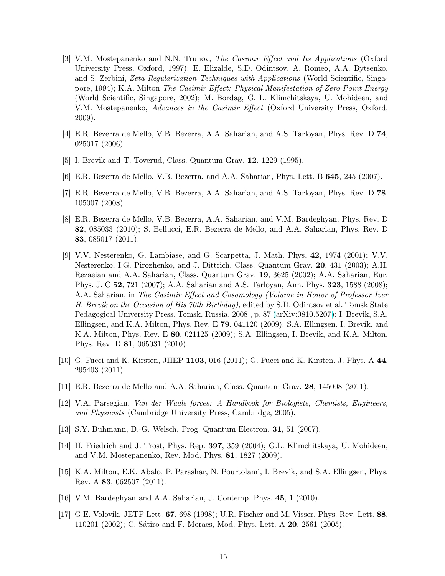- <span id="page-14-0"></span>[3] V.M. Mostepanenko and N.N. Trunov, The Casimir Effect and Its Applications (Oxford University Press, Oxford, 1997); E. Elizalde, S.D. Odintsov, A. Romeo, A.A. Bytsenko, and S. Zerbini, Zeta Regularization Techniques with Applications (World Scientific, Singapore, 1994); K.A. Milton The Casimir Effect: Physical Manifestation of Zero-Point Energy (World Scientific, Singapore, 2002); M. Bordag, G. L. Klimchitskaya, U. Mohideen, and V.M. Mostepanenko, Advances in the Casimir Effect (Oxford University Press, Oxford, 2009).
- <span id="page-14-2"></span><span id="page-14-1"></span>[4] E.R. Bezerra de Mello, V.B. Bezerra, A.A. Saharian, and A.S. Tarloyan, Phys. Rev. D 74, 025017 (2006).
- <span id="page-14-3"></span>[5] I. Brevik and T. Toverud, Class. Quantum Grav. 12, 1229 (1995).
- <span id="page-14-4"></span>[6] E.R. Bezerra de Mello, V.B. Bezerra, and A.A. Saharian, Phys. Lett. B 645, 245 (2007).
- <span id="page-14-5"></span>[7] E.R. Bezerra de Mello, V.B. Bezerra, A.A. Saharian, and A.S. Tarloyan, Phys. Rev. D 78, 105007 (2008).
- [8] E.R. Bezerra de Mello, V.B. Bezerra, A.A. Saharian, and V.M. Bardeghyan, Phys. Rev. D 82, 085033 (2010); S. Bellucci, E.R. Bezerra de Mello, and A.A. Saharian, Phys. Rev. D 83, 085017 (2011).
- <span id="page-14-6"></span>[9] V.V. Nesterenko, G. Lambiase, and G. Scarpetta, J. Math. Phys. 42, 1974 (2001); V.V. Nesterenko, I.G. Pirozhenko, and J. Dittrich, Class. Quantum Grav. 20, 431 (2003); A.H. Rezaeian and A.A. Saharian, Class. Quantum Grav. 19, 3625 (2002); A.A. Saharian, Eur. Phys. J. C 52, 721 (2007); A.A. Saharian and A.S. Tarloyan, Ann. Phys. 323, 1588 (2008); A.A. Saharian, in The Casimir Effect and Cosomology (Volume in Honor of Professor Iver H. Brevik on the Occasion of His 70th Birthday), edited by S.D. Odintsov et al. Tomsk State Pedagogical University Press, Tomsk, Russia, 2008 , p. 87 [\(arXiv:0810.5207\)](http://arxiv.org/abs/0810.5207); I. Brevik, S.A. Ellingsen, and K.A. Milton, Phys. Rev. E 79, 041120 (2009); S.A. Ellingsen, I. Brevik, and K.A. Milton, Phys. Rev. E 80, 021125 (2009); S.A. Ellingsen, I. Brevik, and K.A. Milton, Phys. Rev. D 81, 065031 (2010).
- <span id="page-14-7"></span>[10] G. Fucci and K. Kirsten, JHEP 1103, 016 (2011); G. Fucci and K. Kirsten, J. Phys. A 44, 295403 (2011).
- <span id="page-14-9"></span><span id="page-14-8"></span>[11] E.R. Bezerra de Mello and A.A. Saharian, Class. Quantum Grav. 28, 145008 (2011).
- [12] V.A. Parsegian, Van der Waals forces: A Handbook for Biologists, Chemists, Engineers, and Physicists (Cambridge University Press, Cambridge, 2005).
- <span id="page-14-11"></span><span id="page-14-10"></span>[13] S.Y. Buhmann, D.-G. Welsch, Prog. Quantum Electron. 31, 51 (2007).
- <span id="page-14-12"></span>[14] H. Friedrich and J. Trost, Phys. Rep. 397, 359 (2004); G.L. Klimchitskaya, U. Mohideen, and V.M. Mostepanenko, Rev. Mod. Phys. 81, 1827 (2009).
- [15] K.A. Milton, E.K. Abalo, P. Parashar, N. Pourtolami, I. Brevik, and S.A. Ellingsen, Phys. Rev. A 83, 062507 (2011).
- <span id="page-14-14"></span><span id="page-14-13"></span>[16] V.M. Bardeghyan and A.A. Saharian, J. Contemp. Phys. 45, 1 (2010).
- [17] G.E. Volovik, JETP Lett. 67, 698 (1998); U.R. Fischer and M. Visser, Phys. Rev. Lett. 88, 110201 (2002); C. Sátiro and F. Moraes, Mod. Phys. Lett. A **20**, 2561 (2005).